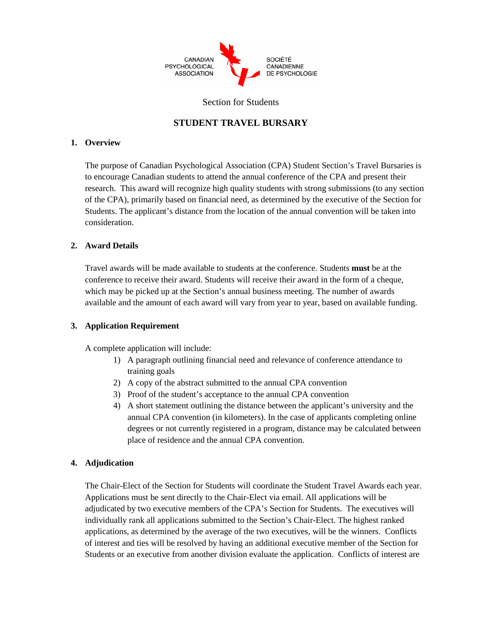

#### Section for Students

### **STUDENT TRAVEL BURSARY**

### **1. Overview**

The purpose of Canadian Psychological Association (CPA) Student Section's Travel Bursaries is to encourage Canadian students to attend the annual conference of the CPA and present their research. This award will recognize high quality students with strong submissions (to any section of the CPA), primarily based on financial need, as determined by the executive of the Section for Students. The applicant's distance from the location of the annual convention will be taken into consideration.

### **2. Award Details**

Travel awards will be made available to students at the conference. Students **must** be at the conference to receive their award. Students will receive their award in the form of a cheque, which may be picked up at the Section's annual business meeting. The number of awards available and the amount of each award will vary from year to year, based on available funding.

### **3. Application Requirement**

A complete application will include:

- 1) A paragraph outlining financial need and relevance of conference attendance to training goals
- 2) A copy of the abstract submitted to the annual CPA convention
- 3) Proof of the student's acceptance to the annual CPA convention
- 4) A short statement outlining the distance between the applicant's university and the annual CPA convention (in kilometers). In the case of applicants completing online degrees or not currently registered in a program, distance may be calculated between place of residence and the annual CPA convention.

### **4. Adjudication**

The Chair-Elect of the Section for Students will coordinate the Student Travel Awards each year. Applications must be sent directly to the Chair-Elect via email. All applications will be adjudicated by two executive members of the CPA's Section for Students. The executives will individually rank all applications submitted to the Section's Chair-Elect. The highest ranked applications, as determined by the average of the two executives, will be the winners. Conflicts of interest and ties will be resolved by having an additional executive member of the Section for Students or an executive from another division evaluate the application. Conflicts of interest are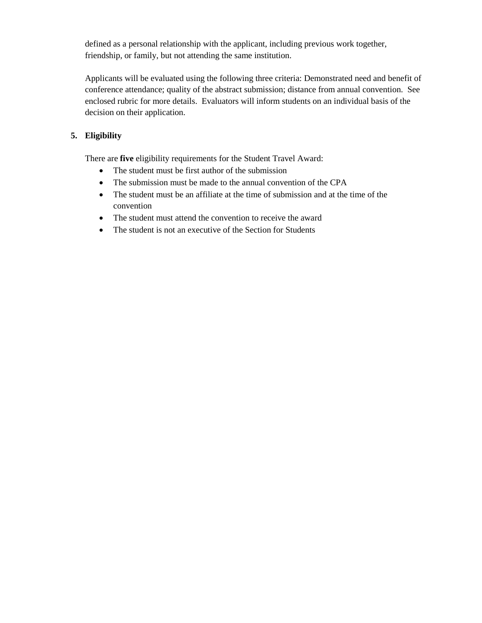defined as a personal relationship with the applicant, including previous work together, friendship, or family, but not attending the same institution.

Applicants will be evaluated using the following three criteria: Demonstrated need and benefit of conference attendance; quality of the abstract submission; distance from annual convention. See enclosed rubric for more details. Evaluators will inform students on an individual basis of the decision on their application.

## **5. Eligibility**

There are **five** eligibility requirements for the Student Travel Award:

- The student must be first author of the submission
- The submission must be made to the annual convention of the CPA
- The student must be an affiliate at the time of submission and at the time of the convention
- The student must attend the convention to receive the award
- The student is not an executive of the Section for Students